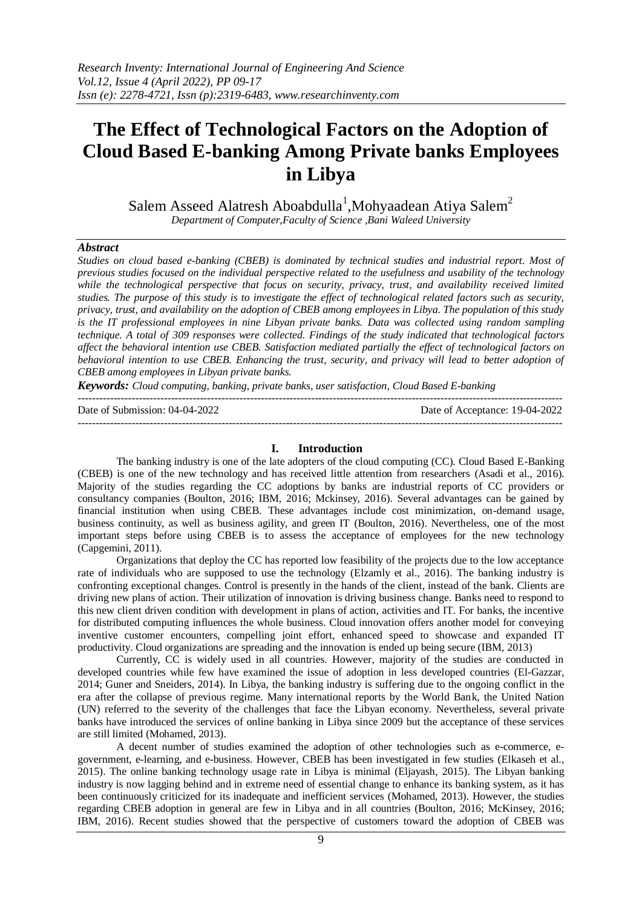# **The Effect of Technological Factors on the Adoption of Cloud Based E-banking Among Private banks Employees in Libya**

Salem Asseed Alatresh Aboabdulla<sup>1</sup>, Mohyaadean Atiya Salem<sup>2</sup> *Department of Computer,Faculty of Science ,Bani Waleed University* 

### *Abstract*

*Studies on cloud based e-banking (CBEB) is dominated by technical studies and industrial report. Most of previous studies focused on the individual perspective related to the usefulness and usability of the technology*  while the technological perspective that focus on security, privacy, trust, and availability received limited *studies. The purpose of this study is to investigate the effect of technological related factors such as security, privacy, trust, and availability on the adoption of CBEB among employees in Libya. The population of this study is the IT professional employees in nine Libyan private banks. Data was collected using random sampling technique. A total of 309 responses were collected. Findings of the study indicated that technological factors affect the behavioral intention use CBEB. Satisfaction mediated partially the effect of technological factors on behavioral intention to use CBEB. Enhancing the trust, security, and privacy will lead to better adoption of CBEB among employees in Libyan private banks.*

*Keywords: Cloud computing, banking, private banks, user satisfaction, Cloud Based E-banking*

 $-1\leq i\leq n-1\leq n-1\leq n-1\leq n-1\leq n-1\leq n-1\leq n-1\leq n-1\leq n-1\leq n-1\leq n-1\leq n-1\leq n-1\leq n-1\leq n-1\leq n-1\leq n-1\leq n-1\leq n-1\leq n-1\leq n-1\leq n-1\leq n-1\leq n-1\leq n-1\leq n-1\leq n-1\leq n-1\leq n-1\leq n-1\leq n-1\leq n-1\leq n-1\leq n-1\leq n-1\leq n$ 

Date of Submission: 04-04-2022 Date of Acceptance: 19-04-2022

### **I. Introduction**

---------------------------------------------------------------------------------------------------------------------------------------

The banking industry is one of the late adopters of the cloud computing (CC). Cloud Based E-Banking (CBEB) is one of the new technology and has received little attention from researchers (Asadi et al., 2016). Majority of the studies regarding the CC adoptions by banks are industrial reports of CC providers or consultancy companies (Boulton, 2016; IBM, 2016; Mckinsey, 2016). Several advantages can be gained by financial institution when using CBEB. These advantages include cost minimization, on-demand usage, business continuity, as well as business agility, and green IT (Boulton, 2016). Nevertheless, one of the most important steps before using CBEB is to assess the acceptance of employees for the new technology (Capgemini, 2011).

Organizations that deploy the CC has reported low feasibility of the projects due to the low acceptance rate of individuals who are supposed to use the technology (Elzamly et al., 2016). The banking industry is confronting exceptional changes. Control is presently in the hands of the client, instead of the bank. Clients are driving new plans of action. Their utilization of innovation is driving business change. Banks need to respond to this new client driven condition with development in plans of action, activities and IT. For banks, the incentive for distributed computing influences the whole business. Cloud innovation offers another model for conveying inventive customer encounters, compelling joint effort, enhanced speed to showcase and expanded IT productivity. Cloud organizations are spreading and the innovation is ended up being secure (IBM, 2013)

Currently, CC is widely used in all countries. However, majority of the studies are conducted in developed countries while few have examined the issue of adoption in less developed countries (El-Gazzar, 2014; Guner and Sneiders, 2014). In Libya, the banking industry is suffering due to the ongoing conflict in the era after the collapse of previous regime. Many international reports by the World Bank, the United Nation (UN) referred to the severity of the challenges that face the Libyan economy. Nevertheless, several private banks have introduced the services of online banking in Libya since 2009 but the acceptance of these services are still limited (Mohamed, 2013).

A decent number of studies examined the adoption of other technologies such as e-commerce, egovernment, e-learning, and e-business. However, CBEB has been investigated in few studies (Elkaseh et al., 2015). The online banking technology usage rate in Libya is minimal (Eljayash, 2015). The Libyan banking industry is now lagging behind and in extreme need of essential change to enhance its banking system, as it has been continuously criticized for its inadequate and inefficient services (Mohamed, 2013). However, the studies regarding CBEB adoption in general are few in Libya and in all countries (Boulton, 2016; McKinsey, 2016; IBM, 2016). Recent studies showed that the perspective of customers toward the adoption of CBEB was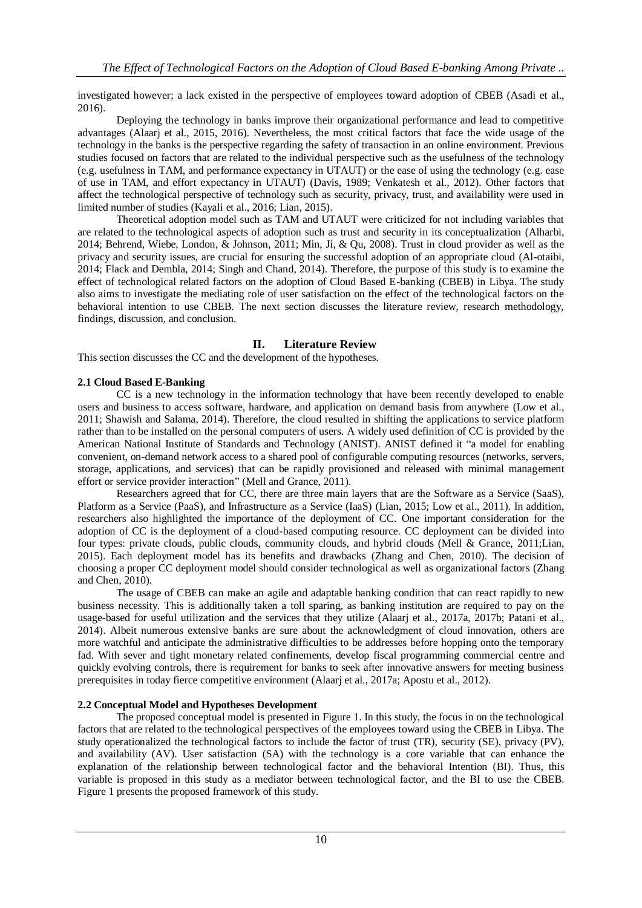investigated however; a lack existed in the perspective of employees toward adoption of CBEB (Asadi et al., 2016).

Deploying the technology in banks improve their organizational performance and lead to competitive advantages (Alaarj et al., 2015, 2016). Nevertheless, the most critical factors that face the wide usage of the technology in the banks is the perspective regarding the safety of transaction in an online environment. Previous studies focused on factors that are related to the individual perspective such as the usefulness of the technology (e.g. usefulness in TAM, and performance expectancy in UTAUT) or the ease of using the technology (e.g. ease of use in TAM, and effort expectancy in UTAUT) (Davis, 1989; Venkatesh et al., 2012). Other factors that affect the technological perspective of technology such as security, privacy, trust, and availability were used in limited number of studies (Kayali et al., 2016; Lian, 2015).

Theoretical adoption model such as TAM and UTAUT were criticized for not including variables that are related to the technological aspects of adoption such as trust and security in its conceptualization (Alharbi, 2014; Behrend, Wiebe, London, & Johnson, 2011; Min, Ji, & Qu, 2008). Trust in cloud provider as well as the privacy and security issues, are crucial for ensuring the successful adoption of an appropriate cloud (Al-otaibi, 2014; Flack and Dembla, 2014; Singh and Chand, 2014). Therefore, the purpose of this study is to examine the effect of technological related factors on the adoption of Cloud Based E-banking (CBEB) in Libya. The study also aims to investigate the mediating role of user satisfaction on the effect of the technological factors on the behavioral intention to use CBEB. The next section discusses the literature review, research methodology, findings, discussion, and conclusion.

# **II. Literature Review**

This section discusses the CC and the development of the hypotheses.

# **2.1 Cloud Based E-Banking**

CC is a new technology in the information technology that have been recently developed to enable users and business to access software, hardware, and application on demand basis from anywhere (Low et al., 2011; Shawish and Salama, 2014). Therefore, the cloud resulted in shifting the applications to service platform rather than to be installed on the personal computers of users. A widely used definition of CC is provided by the American National Institute of Standards and Technology (ANIST). ANIST defined it "a model for enabling convenient, on-demand network access to a shared pool of configurable computing resources (networks, servers, storage, applications, and services) that can be rapidly provisioned and released with minimal management effort or service provider interaction" (Mell and Grance, 2011).

Researchers agreed that for CC, there are three main layers that are the Software as a Service (SaaS), Platform as a Service (PaaS), and Infrastructure as a Service (IaaS) (Lian, 2015; Low et al., 2011). In addition, researchers also highlighted the importance of the deployment of CC. One important consideration for the adoption of CC is the deployment of a cloud-based computing resource. CC deployment can be divided into four types: private clouds, public clouds, community clouds, and hybrid clouds (Mell & Grance, 2011;Lian, 2015). Each deployment model has its benefits and drawbacks (Zhang and Chen, 2010). The decision of choosing a proper CC deployment model should consider technological as well as organizational factors (Zhang and Chen, 2010).

The usage of CBEB can make an agile and adaptable banking condition that can react rapidly to new business necessity. This is additionally taken a toll sparing, as banking institution are required to pay on the usage-based for useful utilization and the services that they utilize (Alaarj et al., 2017a, 2017b; Patani et al., 2014). Albeit numerous extensive banks are sure about the acknowledgment of cloud innovation, others are more watchful and anticipate the administrative difficulties to be addresses before hopping onto the temporary fad. With sever and tight monetary related confinements, develop fiscal programming commercial centre and quickly evolving controls, there is requirement for banks to seek after innovative answers for meeting business prerequisites in today fierce competitive environment (Alaarj et al., 2017a; Apostu et al., 2012).

### **2.2 Conceptual Model and Hypotheses Development**

The proposed conceptual model is presented in Figure 1. In this study, the focus in on the technological factors that are related to the technological perspectives of the employees toward using the CBEB in Libya. The study operationalized the technological factors to include the factor of trust (TR), security (SE), privacy (PV), and availability (AV). User satisfaction (SA) with the technology is a core variable that can enhance the explanation of the relationship between technological factor and the behavioral Intention (BI). Thus, this variable is proposed in this study as a mediator between technological factor, and the BI to use the CBEB. Figure 1 presents the proposed framework of this study.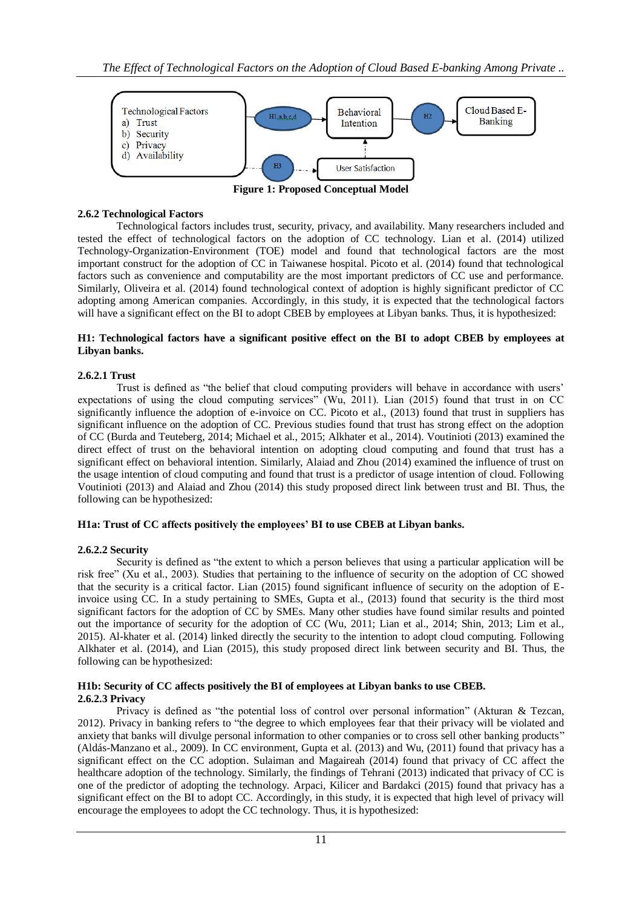

**Figure 1: Proposed Conceptual Model**

### **2.6.2 Technological Factors**

Technological factors includes trust, security, privacy, and availability. Many researchers included and tested the effect of technological factors on the adoption of CC technology. Lian et al. (2014) utilized Technology-Organization-Environment (TOE) model and found that technological factors are the most important construct for the adoption of CC in Taiwanese hospital. Picoto et al. (2014) found that technological factors such as convenience and computability are the most important predictors of CC use and performance. Similarly, Oliveira et al. (2014) found technological context of adoption is highly significant predictor of CC adopting among American companies. Accordingly, in this study, it is expected that the technological factors will have a significant effect on the BI to adopt CBEB by employees at Libyan banks. Thus, it is hypothesized:

## **H1: Technological factors have a significant positive effect on the BI to adopt CBEB by employees at Libyan banks.**

## **2.6.2.1 Trust**

Trust is defined as "the belief that cloud computing providers will behave in accordance with users' expectations of using the cloud computing services" (Wu, 2011). Lian (2015) found that trust in on CC significantly influence the adoption of e-invoice on CC. Picoto et al., (2013) found that trust in suppliers has significant influence on the adoption of CC. Previous studies found that trust has strong effect on the adoption of CC (Burda and Teuteberg, 2014; Michael et al., 2015; Alkhater et al., 2014). Voutinioti (2013) examined the direct effect of trust on the behavioral intention on adopting cloud computing and found that trust has a significant effect on behavioral intention. Similarly, Alaiad and Zhou (2014) examined the influence of trust on the usage intention of cloud computing and found that trust is a predictor of usage intention of cloud. Following Voutinioti (2013) and Alaiad and Zhou (2014) this study proposed direct link between trust and BI. Thus, the following can be hypothesized:

### **H1a: Trust of CC affects positively the employees' BI to use CBEB at Libyan banks.**

# **2.6.2.2 Security**

Security is defined as "the extent to which a person believes that using a particular application will be risk free" (Xu et al., 2003). Studies that pertaining to the influence of security on the adoption of CC showed that the security is a critical factor. Lian (2015) found significant influence of security on the adoption of Einvoice using CC. In a study pertaining to SMEs, Gupta et al., (2013) found that security is the third most significant factors for the adoption of CC by SMEs. Many other studies have found similar results and pointed out the importance of security for the adoption of CC (Wu, 2011; Lian et al., 2014; Shin, 2013; Lim et al., 2015). Al-khater et al. (2014) linked directly the security to the intention to adopt cloud computing. Following Alkhater et al. (2014), and Lian (2015), this study proposed direct link between security and BI. Thus, the following can be hypothesized:

### **H1b: Security of CC affects positively the BI of employees at Libyan banks to use CBEB. 2.6.2.3 Privacy**

Privacy is defined as "the potential loss of control over personal information" (Akturan & Tezcan, 2012). Privacy in banking refers to "the degree to which employees fear that their privacy will be violated and anxiety that banks will divulge personal information to other companies or to cross sell other banking products" (Aldás-Manzano et al., 2009). In CC environment, Gupta et al. (2013) and Wu, (2011) found that privacy has a significant effect on the CC adoption. Sulaiman and Magaireah (2014) found that privacy of CC affect the healthcare adoption of the technology. Similarly, the findings of Tehrani (2013) indicated that privacy of CC is one of the predictor of adopting the technology. Arpaci, Kilicer and Bardakci (2015) found that privacy has a significant effect on the BI to adopt CC. Accordingly, in this study, it is expected that high level of privacy will encourage the employees to adopt the CC technology. Thus, it is hypothesized: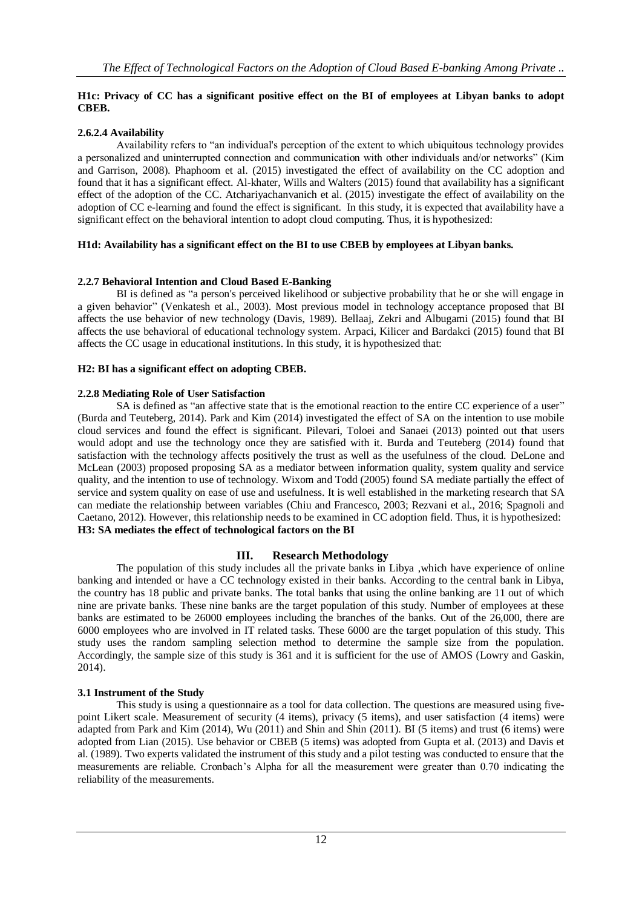## **H1c: Privacy of CC has a significant positive effect on the BI of employees at Libyan banks to adopt CBEB.**

# **2.6.2.4 Availability**

Availability refers to "an individual's perception of the extent to which ubiquitous technology provides a personalized and uninterrupted connection and communication with other individuals and/or networks" (Kim and Garrison, 2008). Phaphoom et al. (2015) investigated the effect of availability on the CC adoption and found that it has a significant effect. Al-khater, Wills and Walters (2015) found that availability has a significant effect of the adoption of the CC. Atchariyachanvanich et al. (2015) investigate the effect of availability on the adoption of CC e-learning and found the effect is significant. In this study, it is expected that availability have a significant effect on the behavioral intention to adopt cloud computing. Thus, it is hypothesized:

# **H1d: Availability has a significant effect on the BI to use CBEB by employees at Libyan banks.**

# **2.2.7 Behavioral Intention and Cloud Based E-Banking**

BI is defined as "a person's perceived likelihood or subjective probability that he or she will engage in a given behavior" (Venkatesh et al., 2003). Most previous model in technology acceptance proposed that BI affects the use behavior of new technology (Davis, 1989). Bellaaj, Zekri and Albugami (2015) found that BI affects the use behavioral of educational technology system. Arpaci, Kilicer and Bardakci (2015) found that BI affects the CC usage in educational institutions. In this study, it is hypothesized that:

# **H2: BI has a significant effect on adopting CBEB.**

# **2.2.8 Mediating Role of User Satisfaction**

SA is defined as "an affective state that is the emotional reaction to the entire CC experience of a user" (Burda and Teuteberg, 2014). Park and Kim (2014) investigated the effect of SA on the intention to use mobile cloud services and found the effect is significant. Pilevari, Toloei and Sanaei (2013) pointed out that users would adopt and use the technology once they are satisfied with it. Burda and Teuteberg (2014) found that satisfaction with the technology affects positively the trust as well as the usefulness of the cloud. DeLone and McLean (2003) proposed proposing SA as a mediator between information quality, system quality and service quality, and the intention to use of technology. Wixom and Todd (2005) found SA mediate partially the effect of service and system quality on ease of use and usefulness. It is well established in the marketing research that SA can mediate the relationship between variables (Chiu and Francesco, 2003; Rezvani et al., 2016; Spagnoli and Caetano, 2012). However, this relationship needs to be examined in CC adoption field. Thus, it is hypothesized: **H3: SA mediates the effect of technological factors on the BI**

# **III. Research Methodology**

The population of this study includes all the private banks in Libya ,which have experience of online banking and intended or have a CC technology existed in their banks. According to the central bank in Libya, the country has 18 public and private banks. The total banks that using the online banking are 11 out of which nine are private banks. These nine banks are the target population of this study. Number of employees at these banks are estimated to be 26000 employees including the branches of the banks. Out of the 26,000, there are 6000 employees who are involved in IT related tasks. These 6000 are the target population of this study. This study uses the random sampling selection method to determine the sample size from the population. Accordingly, the sample size of this study is 361 and it is sufficient for the use of AMOS (Lowry and Gaskin, 2014).

# **3.1 Instrument of the Study**

This study is using a questionnaire as a tool for data collection. The questions are measured using fivepoint Likert scale. Measurement of security (4 items), privacy (5 items), and user satisfaction (4 items) were adapted from Park and Kim (2014), Wu (2011) and Shin and Shin (2011). BI (5 items) and trust (6 items) were adopted from Lian (2015). Use behavior or CBEB (5 items) was adopted from Gupta et al. (2013) and Davis et al. (1989). Two experts validated the instrument of this study and a pilot testing was conducted to ensure that the measurements are reliable. Cronbach's Alpha for all the measurement were greater than 0.70 indicating the reliability of the measurements.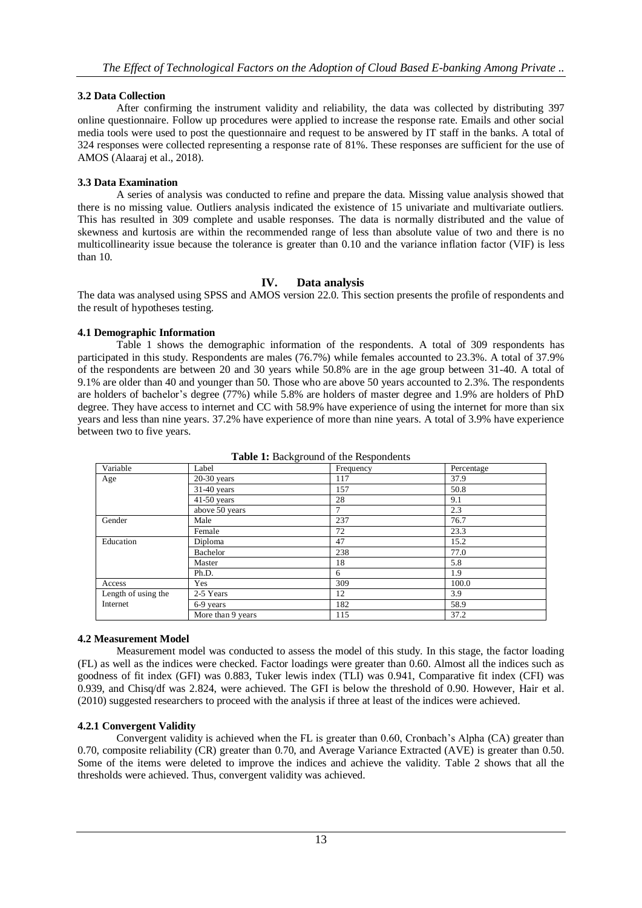# **3.2 Data Collection**

After confirming the instrument validity and reliability, the data was collected by distributing 397 online questionnaire. Follow up procedures were applied to increase the response rate. Emails and other social media tools were used to post the questionnaire and request to be answered by IT staff in the banks. A total of 324 responses were collected representing a response rate of 81%. These responses are sufficient for the use of AMOS (Alaaraj et al., 2018).

# **3.3 Data Examination**

A series of analysis was conducted to refine and prepare the data. Missing value analysis showed that there is no missing value. Outliers analysis indicated the existence of 15 univariate and multivariate outliers. This has resulted in 309 complete and usable responses. The data is normally distributed and the value of skewness and kurtosis are within the recommended range of less than absolute value of two and there is no multicollinearity issue because the tolerance is greater than 0.10 and the variance inflation factor (VIF) is less than 10.

# **IV. Data analysis**

The data was analysed using SPSS and AMOS version 22.0. This section presents the profile of respondents and the result of hypotheses testing.

# **4.1 Demographic Information**

Table 1 shows the demographic information of the respondents. A total of 309 respondents has participated in this study. Respondents are males (76.7%) while females accounted to 23.3%. A total of 37.9% of the respondents are between 20 and 30 years while 50.8% are in the age group between 31-40. A total of 9.1% are older than 40 and younger than 50. Those who are above 50 years accounted to 2.3%. The respondents are holders of bachelor's degree (77%) while 5.8% are holders of master degree and 1.9% are holders of PhD degree. They have access to internet and CC with 58.9% have experience of using the internet for more than six years and less than nine years. 37.2% have experience of more than nine years. A total of 3.9% have experience between two to five years.

|                     | -פ־               | ----p---- |            |
|---------------------|-------------------|-----------|------------|
| Variable            | Label             | Frequency | Percentage |
| Age                 | $20-30$ years     | 117       | 37.9       |
|                     | $31-40$ years     | 157       | 50.8       |
|                     | $41-50$ years     | 28        | 9.1        |
|                     | above 50 years    | 7         | 2.3        |
| Gender              | Male              | 237       | 76.7       |
|                     | Female            | 72        | 23.3       |
| Education           | Diploma           | 47        | 15.2       |
|                     | Bachelor          | 238       | 77.0       |
|                     | Master            | 18        | 5.8        |
|                     | Ph.D.             | 6         | 1.9        |
| Access              | Yes               | 309       | 100.0      |
| Length of using the | 2-5 Years         | 12        | 3.9        |
| Internet            | 6-9 years         | 182       | 58.9       |
|                     | More than 9 years | 115       | 37.2       |

**Table 1:** Background of the Respondents

# **4.2 Measurement Model**

Measurement model was conducted to assess the model of this study. In this stage, the factor loading (FL) as well as the indices were checked. Factor loadings were greater than 0.60. Almost all the indices such as goodness of fit index (GFI) was 0.883, Tuker lewis index (TLI) was 0.941, Comparative fit index (CFI) was 0.939, and Chisq/df was 2.824, were achieved. The GFI is below the threshold of 0.90. However, Hair et al. (2010) suggested researchers to proceed with the analysis if three at least of the indices were achieved.

# **4.2.1 Convergent Validity**

Convergent validity is achieved when the FL is greater than 0.60, Cronbach's Alpha (CA) greater than 0.70, composite reliability (CR) greater than 0.70, and Average Variance Extracted (AVE) is greater than 0.50. Some of the items were deleted to improve the indices and achieve the validity. Table 2 shows that all the thresholds were achieved. Thus, convergent validity was achieved.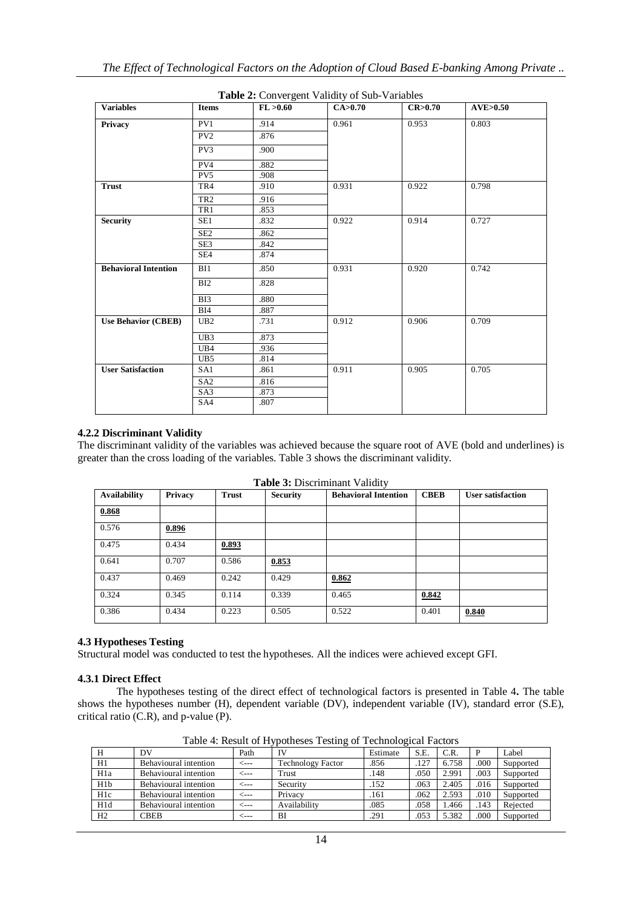| <b>Variables</b>            | <b>Items</b>    | FL > 0.60 | <b>rapic 2.</b> Convergent validity of Bub variables<br>CA>0.70 | CR>0.70 | AVE > 0.50 |
|-----------------------------|-----------------|-----------|-----------------------------------------------------------------|---------|------------|
| Privacy                     | PV1             | .914      | 0.961                                                           | 0.953   | 0.803      |
|                             | PV <sub>2</sub> | .876      |                                                                 |         |            |
|                             |                 |           |                                                                 |         |            |
|                             | PV3             | .900      |                                                                 |         |            |
|                             | PV4             | .882      |                                                                 |         |            |
|                             | PV <sub>5</sub> | .908      |                                                                 |         |            |
| <b>Trust</b>                | TR4             | .910      | 0.931                                                           | 0.922   | 0.798      |
|                             | TR <sub>2</sub> | .916      |                                                                 |         |            |
|                             | TR1             | .853      |                                                                 |         |            |
| <b>Security</b>             | SE1             | .832      | 0.922                                                           | 0.914   | 0.727      |
|                             | SE <sub>2</sub> | .862      |                                                                 |         |            |
|                             | SE <sub>3</sub> | .842      |                                                                 |         |            |
|                             | SE4             | .874      |                                                                 |         |            |
| <b>Behavioral Intention</b> | BI1             | .850      | 0.931                                                           | 0.920   | 0.742      |
|                             | BI2             | .828      |                                                                 |         |            |
|                             | BI3             | .880      |                                                                 |         |            |
|                             | BI4             | .887      |                                                                 |         |            |
| <b>Use Behavior (CBEB)</b>  | UB2             | .731      | 0.912                                                           | 0.906   | 0.709      |
|                             | UB3             | .873      |                                                                 |         |            |
|                             | UB4             | .936      |                                                                 |         |            |
|                             | UB5             | .814      |                                                                 |         |            |
| <b>User Satisfaction</b>    | SA1             | .861      | 0.911                                                           | 0.905   | 0.705      |
|                             | SA <sub>2</sub> | .816      |                                                                 |         |            |
|                             | SA3             | .873      |                                                                 |         |            |
|                             | SA4             | .807      |                                                                 |         |            |
|                             |                 |           |                                                                 |         |            |

**Table 2:** Convergent Validity of Sub-Variables

### **4.2.2 Discriminant Validity**

The discriminant validity of the variables was achieved because the square root of AVE (bold and underlines) is greater than the cross loading of the variables. Table 3 shows the discriminant validity.

| <b>Availability</b> | Privacy | <b>Trust</b> | <b>Security</b> | <b>Behavioral Intention</b> | <b>CBEB</b> | <b>User satisfaction</b> |
|---------------------|---------|--------------|-----------------|-----------------------------|-------------|--------------------------|
| 0.868               |         |              |                 |                             |             |                          |
| 0.576               | 0.896   |              |                 |                             |             |                          |
| 0.475               | 0.434   | 0.893        |                 |                             |             |                          |
| 0.641               | 0.707   | 0.586        | 0.853           |                             |             |                          |
| 0.437               | 0.469   | 0.242        | 0.429           | 0.862                       |             |                          |
| 0.324               | 0.345   | 0.114        | 0.339           | 0.465                       | 0.842       |                          |
| 0.386               | 0.434   | 0.223        | 0.505           | 0.522                       | 0.401       | 0.840                    |

**Table 3:** Discriminant Validity

### **4.3 Hypotheses Testing**

Structural model was conducted to test the hypotheses. All the indices were achieved except GFI.

#### **4.3.1 Direct Effect**

The hypotheses testing of the direct effect of technological factors is presented in Table 4**.** The table shows the hypotheses number (H), dependent variable (DV), independent variable (IV), standard error (S.E), critical ratio (C.R), and p-value (P).

| H                | DV                    | Path | IV                       | Estimate | S.E. | C.R.  | P    | Label     |
|------------------|-----------------------|------|--------------------------|----------|------|-------|------|-----------|
| H1               | Behavioural intention | <--- | <b>Technology Factor</b> | .856     | .127 | 6.758 | .000 | Supported |
| H <sub>1</sub> a | Behavioural intention | <--- | Trust                    | 148      | .050 | 2.991 | .003 | Supported |
| H <sub>1</sub> b | Behavioural intention | <--- | Security                 | 152      | .063 | 2.405 | .016 | Supported |
| H1c              | Behavioural intention | ⊂--- | Privacy                  | .161     | .062 | 2.593 | .010 | Supported |
| H <sub>1</sub> d | Behavioural intention | <--- | Availability             | .085     | .058 | 1.466 | .143 | Rejected  |
| H2               | <b>CBEB</b>           | ---- | BI                       | .291     | .053 | 5.382 | .000 | Supported |

Table 4: Result of Hypotheses Testing of Technological Factors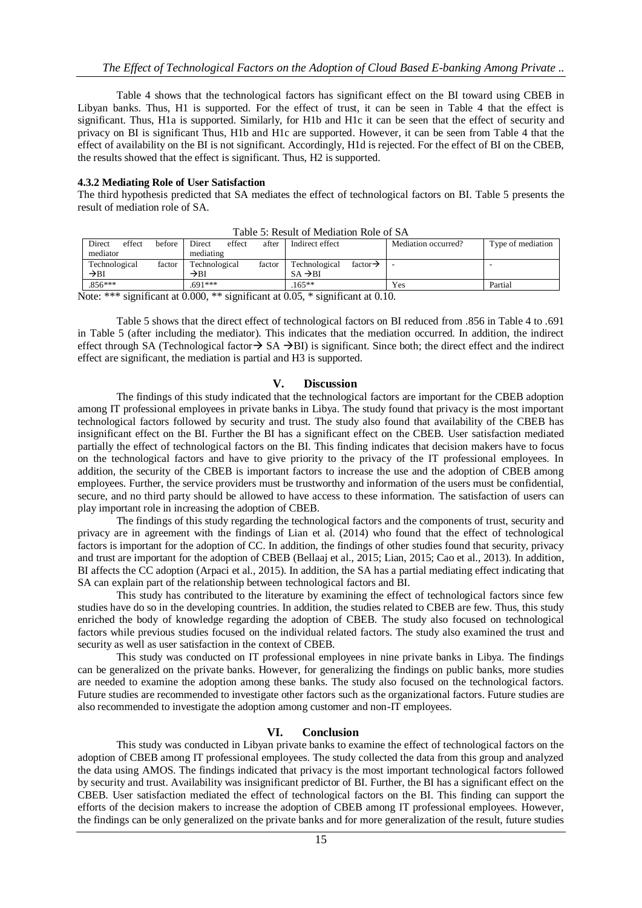Table 4 shows that the technological factors has significant effect on the BI toward using CBEB in Libyan banks. Thus, H1 is supported. For the effect of trust, it can be seen in Table 4 that the effect is significant. Thus, H1a is supported. Similarly, for H1b and H1c it can be seen that the effect of security and privacy on BI is significant Thus, H1b and H1c are supported. However, it can be seen from Table 4 that the effect of availability on the BI is not significant. Accordingly, H1d is rejected. For the effect of BI on the CBEB, the results showed that the effect is significant. Thus, H2 is supported.

#### **4.3.2 Mediating Role of User Satisfaction**

The third hypothesis predicted that SA mediates the effect of technological factors on BI. Table 5 presents the result of mediation role of SA.

|                         | Table 9. Result of Mediation Role of B/Y |               |                  |        |               |                      |  |                     |                   |
|-------------------------|------------------------------------------|---------------|------------------|--------|---------------|----------------------|--|---------------------|-------------------|
| Direct                  | effect                                   | before        | <b>Direct</b>    | effect | after         | Indirect effect      |  | Mediation occurred? | Type of mediation |
|                         | mediator<br>mediating                    |               |                  |        |               |                      |  |                     |                   |
| Technological<br>factor |                                          | Technological |                  | factor | Technological | factor $\rightarrow$ |  |                     |                   |
| $\rightarrow$ BI        |                                          |               | $\rightarrow$ BI |        |               | $SA \rightarrow BI$  |  |                     |                   |
| $.856***$               |                                          |               | $691***$         |        |               | $165***$             |  | Yes                 | Partial           |

Table 5: Result of Mediation Role of SA

Note: \*\*\* significant at 0.000, \*\* significant at 0.05, \* significant at 0.10.

Table 5 shows that the direct effect of technological factors on BI reduced from .856 in Table 4 to .691 in Table 5 (after including the mediator). This indicates that the mediation occurred. In addition, the indirect effect through SA (Technological factor  $\rightarrow$  SA  $\rightarrow$ BI) is significant. Since both; the direct effect and the indirect effect are significant, the mediation is partial and H3 is supported.

### **V. Discussion**

The findings of this study indicated that the technological factors are important for the CBEB adoption among IT professional employees in private banks in Libya. The study found that privacy is the most important technological factors followed by security and trust. The study also found that availability of the CBEB has insignificant effect on the BI. Further the BI has a significant effect on the CBEB. User satisfaction mediated partially the effect of technological factors on the BI. This finding indicates that decision makers have to focus on the technological factors and have to give priority to the privacy of the IT professional employees. In addition, the security of the CBEB is important factors to increase the use and the adoption of CBEB among employees. Further, the service providers must be trustworthy and information of the users must be confidential, secure, and no third party should be allowed to have access to these information. The satisfaction of users can play important role in increasing the adoption of CBEB.

The findings of this study regarding the technological factors and the components of trust, security and privacy are in agreement with the findings of Lian et al. (2014) who found that the effect of technological factors is important for the adoption of CC. In addition, the findings of other studies found that security, privacy and trust are important for the adoption of CBEB (Bellaaj et al., 2015; Lian, 2015; Cao et al., 2013). In addition, BI affects the CC adoption (Arpaci et al., 2015). In addition, the SA has a partial mediating effect indicating that SA can explain part of the relationship between technological factors and BI.

This study has contributed to the literature by examining the effect of technological factors since few studies have do so in the developing countries. In addition, the studies related to CBEB are few. Thus, this study enriched the body of knowledge regarding the adoption of CBEB. The study also focused on technological factors while previous studies focused on the individual related factors. The study also examined the trust and security as well as user satisfaction in the context of CBEB.

This study was conducted on IT professional employees in nine private banks in Libya. The findings can be generalized on the private banks. However, for generalizing the findings on public banks, more studies are needed to examine the adoption among these banks. The study also focused on the technological factors. Future studies are recommended to investigate other factors such as the organizational factors. Future studies are also recommended to investigate the adoption among customer and non-IT employees.

### **VI. Conclusion**

This study was conducted in Libyan private banks to examine the effect of technological factors on the adoption of CBEB among IT professional employees. The study collected the data from this group and analyzed the data using AMOS. The findings indicated that privacy is the most important technological factors followed by security and trust. Availability was insignificant predictor of BI. Further, the BI has a significant effect on the CBEB. User satisfaction mediated the effect of technological factors on the BI. This finding can support the efforts of the decision makers to increase the adoption of CBEB among IT professional employees. However, the findings can be only generalized on the private banks and for more generalization of the result, future studies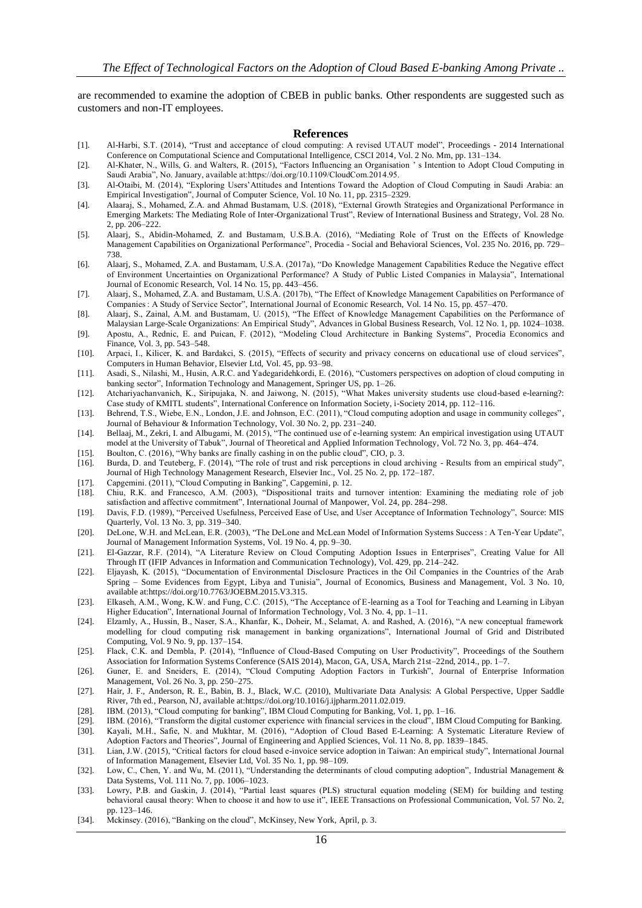are recommended to examine the adoption of CBEB in public banks. Other respondents are suggested such as customers and non-IT employees.

#### **References**

- [1]. Al-Harbi, S.T. (2014), "Trust and acceptance of cloud computing: A revised UTAUT model", Proceedings 2014 International Conference on Computational Science and Computational Intelligence, CSCI 2014, Vol. 2 No. Mm, pp. 131–134.
- [2]. Al-Khater, N., Wills, G. and Walters, R. (2015), "Factors Influencing an Organisation ' s Intention to Adopt Cloud Computing in Saudi Arabia", No. January, available at:https://doi.org/10.1109/CloudCom.2014.95.
- [3]. Al-Otaibi, M. (2014), "Exploring Users'Attitudes and Intentions Toward the Adoption of Cloud Computing in Saudi Arabia: an Empirical Investigation", Journal of Computer Science, Vol. 10 No. 11, pp. 2315–2329.
- [4]. Alaaraj, S., Mohamed, Z.A. and Ahmad Bustamam, U.S. (2018), "External Growth Strategies and Organizational Performance in Emerging Markets: The Mediating Role of Inter-Organizational Trust", Review of International Business and Strategy, Vol. 28 No. 2, pp. 206–222.
- [5]. Alaarj, S., Abidin-Mohamed, Z. and Bustamam, U.S.B.A. (2016), "Mediating Role of Trust on the Effects of Knowledge Management Capabilities on Organizational Performance", Procedia - Social and Behavioral Sciences, Vol. 235 No. 2016, pp. 729– 738.
- [6]. Alaarj, S., Mohamed, Z.A. and Bustamam, U.S.A. (2017a), "Do Knowledge Management Capabilities Reduce the Negative effect of Environment Uncertainties on Organizational Performance? A Study of Public Listed Companies in Malaysia", International Journal of Economic Research, Vol. 14 No. 15, pp. 443–456.
- [7]. Alaarj, S., Mohamed, Z.A. and Bustamam, U.S.A. (2017b), "The Effect of Knowledge Management Capabilities on Performance of Companies : A Study of Service Sector", International Journal of Economic Research, Vol. 14 No. 15, pp. 457–470.
- [8]. Alaarj, S., Zainal, A.M. and Bustamam, U. (2015), "The Effect of Knowledge Management Capabilities on the Performance of Malaysian Large-Scale Organizations: An Empirical Study", Advances in Global Business Research, Vol. 12 No. 1, pp. 1024–1038.
- [9]. Apostu, A., Rednic, E. and Puican, F. (2012), "Modeling Cloud Architecture in Banking Systems", Procedia Economics and Finance, Vol. 3, pp. 543–548.
- [10]. Arpaci, I., Kilicer, K. and Bardakci, S. (2015), "Effects of security and privacy concerns on educational use of cloud services", Computers in Human Behavior, Elsevier Ltd, Vol. 45, pp. 93–98.
- [11]. Asadi, S., Nilashi, M., Husin, A.R.C. and Yadegaridehkordi, E. (2016), "Customers perspectives on adoption of cloud computing in banking sector", Information Technology and Management, Springer US, pp. 1–26.
- [12]. Atchariyachanvanich, K., Siripujaka, N. and Jaiwong, N. (2015), "What Makes university students use cloud-based e-learning?: Case study of KMITL students", International Conference on Information Society, i-Society 2014, pp. 112–116.
- [13]. Behrend, T.S., Wiebe, E.N., London, J.E. and Johnson, E.C. (2011), "Cloud computing adoption and usage in community colleges" , Journal of Behaviour & Information Technology, Vol. 30 No. 2, pp. 231–240.
- [14]. Bellaaj, M., Zekri, I. and Albugami, M. (2015), "The continued use of e-learning system: An empirical investigation using UTAUT model at the University of Tabuk", Journal of Theoretical and Applied Information Technology, Vol. 72 No. 3, pp. 464–474.
- [15]. Boulton, C. (2016), "Why banks are finally cashing in on the public cloud", CIO, p. 3.
- [16]. Burda, D. and Teuteberg, F. (2014), "The role of trust and risk perceptions in cloud archiving Results from an empirical study", Journal of High Technology Management Research, Elsevier Inc., Vol. 25 No. 2, pp. 172–187.
- [17]. Capgemini. (2011), "Cloud Computing in Banking", Capgemini, p. 12.
- [18]. Chiu, R.K. and Francesco, A.M. (2003), "Dispositional traits and turnover intention: Examining the mediating role of job satisfaction and affective commitment", International Journal of Manpower, Vol. 24, pp. 284–298.
- [19]. Davis, F.D. (1989), "Perceived Usefulness, Perceived Ease of Use, and User Acceptance of Information Technology", Source: MIS Quarterly, Vol. 13 No. 3, pp. 319–340.
- [20]. DeLone, W.H. and McLean, E.R. (2003), "The DeLone and McLean Model of Information Systems Success : A Ten-Year Update", Journal of Management Information Systems, Vol. 19 No. 4, pp. 9–30.
- [21]. El-Gazzar, R.F. (2014), "A Literature Review on Cloud Computing Adoption Issues in Enterprises", Creating Value for All Through IT (IFIP Advances in Information and Communication Technology), Vol. 429, pp. 214–242.
- [22]. Eljayash, K. (2015), "Documentation of Environmental Disclosure Practices in the Oil Companies in the Countries of the Arab Spring – Some Evidences from Egypt, Libya and Tunisia", Journal of Economics, Business and Management, Vol. 3 No. 10, available at:https://doi.org/10.7763/JOEBM.2015.V3.315.
- [23]. Elkaseh, A.M., Wong, K.W. and Fung, C.C. (2015), "The Acceptance of E-learning as a Tool for Teaching and Learning in Libyan Higher Education", International Journal of Information Technology, Vol. 3 No. 4, pp. 1–11.
- [24]. Elzamly, A., Hussin, B., Naser, S.A., Khanfar, K., Doheir, M., Selamat, A. and Rashed, A. (2016), "A new conceptual framework modelling for cloud computing risk management in banking organizations", International Journal of Grid and Distributed Computing, Vol. 9 No. 9, pp. 137–154.
- [25]. Flack, C.K. and Dembla, P. (2014), "Influence of Cloud-Based Computing on User Productivity", Proceedings of the Southern Association for Information Systems Conference (SAIS 2014), Macon, GA, USA, March 21st–22nd, 2014., pp. 1–7.
- [26]. Guner, E. and Sneiders, E. (2014), "Cloud Computing Adoption Factors in Turkish", Journal of Enterprise Information Management, Vol. 26 No. 3, pp. 250–275.
- [27]. Hair, J. F., Anderson, R. E., Babin, B. J., Black, W.C. (2010), Multivariate Data Analysis: A Global Perspective, Upper Saddle River, 7th ed., Pearson, NJ, available at:https://doi.org/10.1016/j.ijpharm.2011.02.019.
- [28]. IBM. (2013), "Cloud computing for banking", IBM Cloud Computing for Banking, Vol. 1, pp. 1–16.
- [29]. IBM. (2016), "Transform the digital customer experience with financial services in the cloud", IBM Cloud Computing for Banking.
- [30]. Kayali, M.H., Safie, N. and Mukhtar, M. (2016), "Adoption of Cloud Based E-Learning: A Systematic Literature Review of Adoption Factors and Theories", Journal of Engineering and Applied Sciences, Vol. 11 No. 8, pp. 1839–1845.
- [31]. Lian, J.W. (2015), "Critical factors for cloud based e-invoice service adoption in Taiwan: An empirical study", International Journal of Information Management, Elsevier Ltd, Vol. 35 No. 1, pp. 98–109.
- [32]. Low, C., Chen, Y. and Wu, M. (2011), "Understanding the determinants of cloud computing adoption", Industrial Management & Data Systems, Vol. 111 No. 7, pp. 1006–1023.
- [33]. Lowry, P.B. and Gaskin, J. (2014), "Partial least squares (PLS) structural equation modeling (SEM) for building and testing behavioral causal theory: When to choose it and how to use it", IEEE Transactions on Professional Communication, Vol. 57 No. 2, pp. 123–146.
- [34]. Mckinsey. (2016), "Banking on the cloud", McKinsey, New York, April, p. 3.